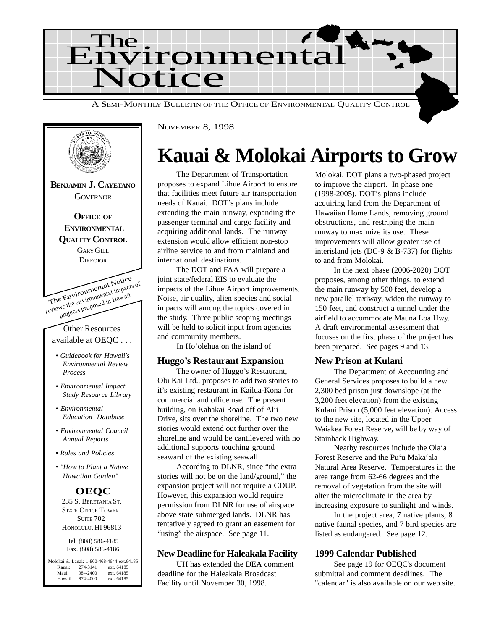



NOVEMBER 8, 1998

## **Kauai & Molokai Airports to Grow**

The Department of Transportation proposes to expand Lihue Airport to ensure that facilities meet future air transportation needs of Kauai. DOT's plans include extending the main runway, expanding the passenger terminal and cargo facility and acquiring additional lands. The runway extension would allow efficient non-stop airline service to and from mainland and international destinations.

The DOT and FAA will prepare a joint state/federal EIS to evaluate the impacts of the Lihue Airport improvements. Noise, air quality, alien species and social impacts will among the topics covered in the study. Three public scoping meetings will be held to solicit input from agencies and community members.

In Ho'olehua on the island of

#### **Huggo's Restaurant Expansion**

The owner of Huggo's Restaurant, Olu Kai Ltd., proposes to add two stories to it's existing restaurant in Kailua-Kona for commercial and office use. The present building, on Kahakai Road off of Alii Drive, sits over the shoreline. The two new stories would extend out further over the shoreline and would be cantilevered with no additional supports touching ground seaward of the existing seawall.

According to DLNR, since "the extra stories will not be on the land/ground," the expansion project will not require a CDUP. However, this expansion would require permission from DLNR for use of airspace above state submerged lands. DLNR has tentatively agreed to grant an easement for "using" the airspace. See page 11.

#### **New Deadline for Haleakala Facility**

UH has extended the DEA comment deadline for the Haleakala Broadcast Facility until November 30, 1998.

Molokai, DOT plans a two-phased project to improve the airport. In phase one (1998-2005), DOT's plans include acquiring land from the Department of Hawaiian Home Lands, removing ground obstructions, and restriping the main runway to maximize its use. These improvements will allow greater use of interisland jets (DC-9 & B-737) for flights to and from Molokai.

In the next phase (2006-2020) DOT proposes, among other things, to extend the main runway by 500 feet, develop a new parallel taxiway, widen the runway to 150 feet, and construct a tunnel under the airfield to accommodate Mauna Loa Hwy. A draft environmental assessment that focuses on the first phase of the project has been prepared. See pages 9 and 13.

#### **New Prison at Kulani**

The Department of Accounting and General Services proposes to build a new 2,300 bed prison just downslope (at the 3,200 feet elevation) from the existing Kulani Prison (5,000 feet elevation). Access to the new site, located in the Upper Waiakea Forest Reserve, will be by way of Stainback Highway.

Nearby resources include the Ola'a Forest Reserve and the Pu'u Maka'ala Natural Area Reserve. Temperatures in the area range from 62-66 degrees and the removal of vegetation from the site will alter the microclimate in the area by increasing exposure to sunlight and winds.

In the project area, 7 native plants, 8 native faunal species, and 7 bird species are listed as endangered. See page 12.

#### **1999 Calendar Published**

See page 19 for OEQC's document submittal and comment deadlines. The "calendar" is also available on our web site.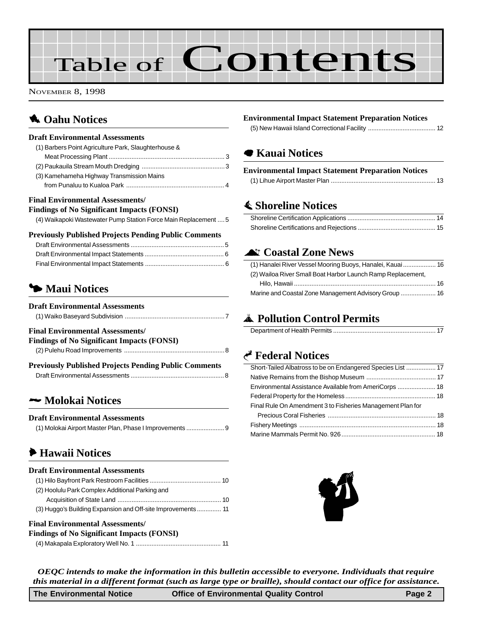# Table of Contents

NOVEMBER 8, 1998

## **1** Oahu Notices

#### **Draft Environmental Assessments**

| (1) Barbers Point Agriculture Park, Slaughterhouse & |  |
|------------------------------------------------------|--|
|                                                      |  |
|                                                      |  |
| (3) Kamehameha Highway Transmission Mains            |  |
|                                                      |  |
|                                                      |  |

#### **Final Environmental Assessments/**

#### **Findings of No Significant Impacts (FONSI)**

[\(4\) Waikapoki Wastewater Pump Station Force Main Replacement](#page-4-0) ....5

#### **Previously Published Projects Pending Public Comments**

## 3 **Maui Notices**

#### **Draft Environmental Assessments**

|--|

#### **Final Environmental Assessments/**

| <b>Findings of No Significant Impacts (FONSI)</b> |  |
|---------------------------------------------------|--|
|                                                   |  |
|                                                   |  |

| <b>Previously Published Projects Pending Public Comments</b> |  |
|--------------------------------------------------------------|--|
|                                                              |  |

### 2 **Molokai Notices**

#### **Draft Environmental Assessments**

| (1) Molokai Airport Master Plan, Phase I Improvements |
|-------------------------------------------------------|
|                                                       |

## 6 **Hawaii Notices**

#### **Draft Environmental Assessments**

| (2) Hoolulu Park Complex Additional Parking and              |
|--------------------------------------------------------------|
|                                                              |
| (3) Huggo's Building Expansion and Off-site Improvements  11 |

#### **Final Environmental Assessments/**

| <b>Findings of No Significant Impacts (FONSI)</b> |  |
|---------------------------------------------------|--|
|                                                   |  |

#### **Environmental Impact Statement Preparation Notices**

[\(5\) New Hawaii Island Correctional Facility ....................................... 12](#page-11-0)

## 7 **[Kauai Notices](#page-12-0)**

#### **Environmental Impact Statement Preparation Notices**

## s **Shoreline Notices**

## ^ **Coastal Zone News**

| (1) Hanalei River Vessel Mooring Buoys, Hanalei, Kauai  16  |  |
|-------------------------------------------------------------|--|
| (2) Wailoa River Small Boat Harbor Launch Ramp Replacement, |  |
|                                                             |  |
|                                                             |  |

## V **[Pollution Control Permits](#page-16-0)**

|--|--|

## G **Federal Notices**

| Short-Tailed Albatross to be on Endangered Species List  17 |  |
|-------------------------------------------------------------|--|
|                                                             |  |
|                                                             |  |
|                                                             |  |
| Final Rule On Amendment 3 to Fisheries Management Plan for  |  |
|                                                             |  |
|                                                             |  |
|                                                             |  |
|                                                             |  |



*OEQC intends to make the information in this bulletin accessible to everyone. Individuals that require this material in a different format (such as large type or braille), should contact our office for assistance.*

| <b>The Environmental Notice</b> | <b>Office of Environmental Quality Control</b> | Page 2 |
|---------------------------------|------------------------------------------------|--------|
|---------------------------------|------------------------------------------------|--------|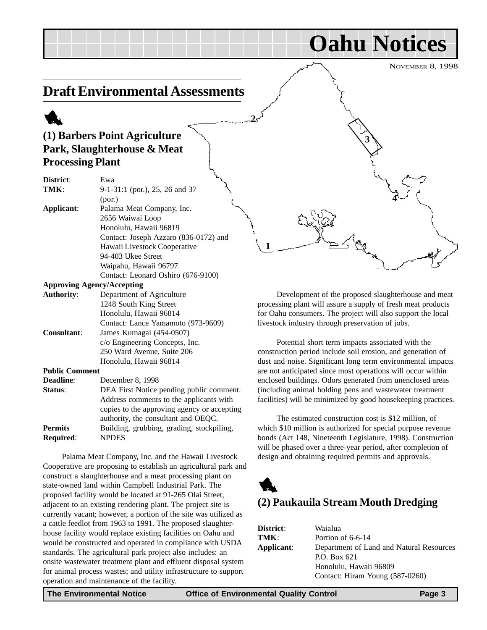NOVEMBER 8, 1998

**Oahu Notices**

**3**

**4**

## <span id="page-2-0"></span>**Draft Environmental Assessments**

## 1 **(1) Barbers Point Agriculture Park, Slaughterhouse & Meat Processing Plant**

| District:             | سمهم<br>Ewa                           |
|-----------------------|---------------------------------------|
| TMK:                  | 9-1-31:1 (por.), 25, 26 and 37        |
|                       | (por.)                                |
| Applicant:            | Palama Meat Company, Inc.             |
|                       | 2656 Waiwai Loop                      |
|                       | Honolulu, Hawaii 96819                |
|                       | Contact: Joseph Azzaro (836-0172) and |
|                       | Hawaii Livestock Cooperative          |
|                       | 94-403 Ukee Street                    |
|                       | Waipahu, Hawaii 96797                 |
|                       | Contact: Leonard Oshiro (676-9100)    |
|                       | <b>Approving Agency/Accepting</b>     |
| <b>Authority:</b>     | Department of Agriculture             |
|                       | 1248 South King Street                |
|                       | Honolulu, Hawaii 96814                |
|                       | Contact: Lance Yamamoto (973-9609)    |
| <b>Consultant:</b>    | James Kumagai (454-0507)              |
|                       | c/o Engineering Concepts, Inc.        |
|                       | 250 Ward Avenue, Suite 206            |
|                       | Honolulu, Hawaii 96814                |
| <b>Public Comment</b> |                                       |
| n 112                 | $\mathbf{D}$ . 1. 0. 1000             |

| <b>Deadline:</b> | December 8, 1998                            |
|------------------|---------------------------------------------|
| Status:          | DEA First Notice pending public comment.    |
|                  | Address comments to the applicants with     |
|                  | copies to the approving agency or accepting |
|                  | authority, the consultant and OEQC.         |
| <b>Permits</b>   | Building, grubbing, grading, stockpiling,   |
| <b>Required:</b> | <b>NPDES</b>                                |

Palama Meat Company, Inc. and the Hawaii Livestock Cooperative are proposing to establish an agricultural park and construct a slaughterhouse and a meat processing plant on state-owned land within Campbell Industrial Park. The proposed facility would be located at 91-265 Olai Street, adjacent to an existing rendering plant. The project site is currently vacant; however, a portion of the site was utilized as a cattle feedlot from 1963 to 1991. The proposed slaughterhouse facility would replace existing facilities on Oahu and would be constructed and operated in compliance with USDA standards. The agricultural park project also includes: an onsite wastewater treatment plant and effluent disposal system for animal process wastes; and utility infrastructure to support operation and maintenance of the facility.

Development of the proposed slaughterhouse and meat processing plant will assure a supply of fresh meat products for Oahu consumers. The project will also support the local livestock industry through preservation of jobs.

Potential short term impacts associated with the construction period include soil erosion, and generation of dust and noise. Significant long term environmental impacts are not anticipated since most operations will occur within enclosed buildings. Odors generated from unenclosed areas (including animal holding pens and wastewater treatment facilities) will be minimized by good housekeeping practices.

The estimated construction cost is \$12 million, of which \$10 million is authorized for special purpose revenue bonds (Act 148, Nineteenth Legislature, 1998). Construction will be phased over a three-year period, after completion of design and obtaining required permits and approvals.



| District:  | Waialua                                  |
|------------|------------------------------------------|
| TMK:       | Portion of 6-6-14                        |
| Applicant: | Department of Land and Natural Resources |
|            | P.O. Box 621                             |
|            | Honolulu, Hawaii 96809                   |
|            | Contact: Hiram Young (587-0260)          |

**2**

**1**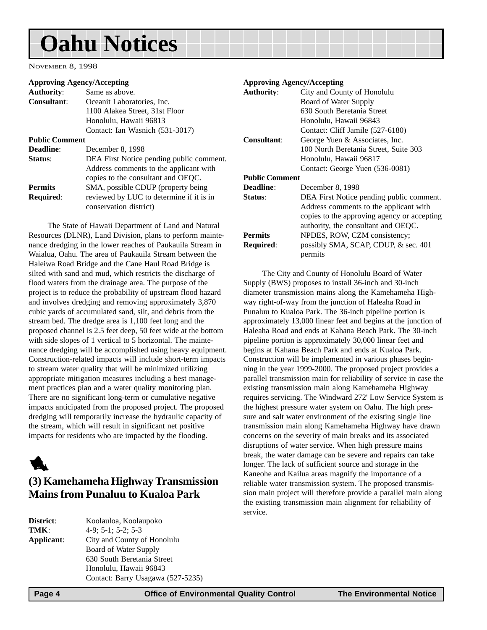# <span id="page-3-0"></span>**Oahu Notices**

NOVEMBER 8, 1998

#### **Approving Agency/Accepting**

| <b>Authority:</b>     | Same as above.                           |
|-----------------------|------------------------------------------|
| <b>Consultant:</b>    | Oceanit Laboratories, Inc.               |
|                       | 1100 Alakea Street, 31st Floor           |
|                       | Honolulu, Hawaii 96813                   |
|                       | Contact: Ian Wasnich (531-3017)          |
| <b>Public Comment</b> |                                          |
| Deadline:             | December 8, 1998                         |
| Status:               | DEA First Notice pending public comment. |
|                       | Address comments to the applicant with   |
|                       | copies to the consultant and OEQC.       |
| <b>Permits</b>        | SMA, possible CDUP (property being)      |
| <b>Required:</b>      | reviewed by LUC to determine if it is in |
|                       | conservation district)                   |
|                       |                                          |

The State of Hawaii Department of Land and Natural Resources (DLNR), Land Division, plans to perform maintenance dredging in the lower reaches of Paukauila Stream in Waialua, Oahu. The area of Paukauila Stream between the Haleiwa Road Bridge and the Cane Haul Road Bridge is silted with sand and mud, which restricts the discharge of flood waters from the drainage area. The purpose of the project is to reduce the probability of upstream flood hazard and involves dredging and removing approximately 3,870 cubic yards of accumulated sand, silt, and debris from the stream bed. The dredge area is 1,100 feet long and the proposed channel is 2.5 feet deep, 50 feet wide at the bottom with side slopes of 1 vertical to 5 horizontal. The maintenance dredging will be accomplished using heavy equipment. Construction-related impacts will include short-term impacts to stream water quality that will be minimized utilizing appropriate mitigation measures including a best management practices plan and a water quality monitoring plan. There are no significant long-term or cumulative negative impacts anticipated from the proposed project. The proposed dredging will temporarily increase the hydraulic capacity of the stream, which will result in significant net positive impacts for residents who are impacted by the flooding.



## **(3) Kamehameha Highway Transmission Mains from Punaluu to Kualoa Park**

| <b>District:</b> | Koolauloa, Koolaupoko             |
|------------------|-----------------------------------|
| TMK:             | $4-9$ ; 5-1; 5-2; 5-3             |
| Applicant:       | City and County of Honolulu       |
|                  | Board of Water Supply             |
|                  | 630 South Beretania Street        |
|                  | Honolulu, Hawaii 96843            |
|                  | Contact: Barry Usagawa (527-5235) |

#### **Approving Agency/Accepting Authority**: City and County of Honolulu Board of Water Supply 630 South Beretania Street Honolulu, Hawaii 96843 Contact: Cliff Jamile (527-6180) **Consultant**: George Yuen & Associates, Inc. 100 North Beretania Street, Suite 303 Honolulu, Hawaii 96817 Contact: George Yuen (536-0081) **Public Comment Deadline**: December 8, 1998 **Status**: DEA First Notice pending public comment. Address comments to the applicant with copies to the approving agency or accepting authority, the consultant and OEQC. **Permits** NPDES, ROW, CZM consistency; **Required**: possibly SMA, SCAP, CDUP, & sec. 401

permits

The City and County of Honolulu Board of Water Supply (BWS) proposes to install 36-inch and 30-inch diameter transmission mains along the Kamehameha Highway right-of-way from the junction of Haleaha Road in Punaluu to Kualoa Park. The 36-inch pipeline portion is approximately 13,000 linear feet and begins at the junction of Haleaha Road and ends at Kahana Beach Park. The 30-inch pipeline portion is approximately 30,000 linear feet and begins at Kahana Beach Park and ends at Kualoa Park. Construction will be implemented in various phases beginning in the year 1999-2000. The proposed project provides a parallel transmission main for reliability of service in case the existing transmission main along Kamehameha Highway requires servicing. The Windward 272' Low Service System is the highest pressure water system on Oahu. The high pressure and salt water environment of the existing single line transmission main along Kamehameha Highway have drawn concerns on the severity of main breaks and its associated disruptions of water service. When high pressure mains break, the water damage can be severe and repairs can take longer. The lack of sufficient source and storage in the Kaneohe and Kailua areas magnify the importance of a reliable water transmission system. The proposed transmission main project will therefore provide a parallel main along the existing transmission main alignment for reliability of service.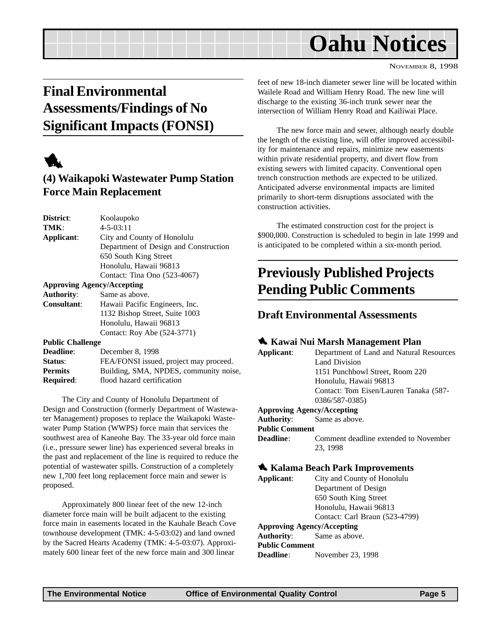## **Oahu Notices**

#### NOVEMBER 8, 1998

## <span id="page-4-0"></span>**Final Environmental Assessments/Findings of No Significant Impacts (FONSI)**



## **(4) Waikapoki Wastewater Pump Station Force Main Replacement**

| District:          | Koolaupoko                            |
|--------------------|---------------------------------------|
| TMK:               | $4 - 5 - 03:11$                       |
| Applicant:         | City and County of Honolulu           |
|                    | Department of Design and Construction |
|                    | 650 South King Street                 |
|                    | Honolulu, Hawaii 96813                |
|                    | Contact: Tina Ono (523-4067)          |
|                    | <b>Approving Agency/Accepting</b>     |
| <b>Authority:</b>  | Same as above.                        |
| <b>Consultant:</b> | Hawaii Pacific Engineers, Inc.        |
|                    | 1132 Bishop Street, Suite 1003        |
|                    | Honolulu, Hawaii 96813                |
|                    | Contact: Roy Abe (524-3771)           |
|                    |                                       |

**Public Challenge**

| <b>Deadline:</b> | December 8, 1998                       |
|------------------|----------------------------------------|
| Status:          | FEA/FONSI issued, project may proceed. |
| <b>Permits</b>   | Building, SMA, NPDES, community noise, |
| <b>Required:</b> | flood hazard certification             |
|                  |                                        |

The City and County of Honolulu Department of Design and Construction (formerly Department of Wastewater Management) proposes to replace the Waikapoki Wastewater Pump Station (WWPS) force main that services the southwest area of Kaneohe Bay. The 33-year old force main (i.e., pressure sewer line) has experienced several breaks in the past and replacement of the line is required to reduce the potential of wastewater spills. Construction of a completely new 1,700 feet long replacement force main and sewer is proposed.

Approximately 800 linear feet of the new 12-inch diameter force main will be built adjacent to the existing force main in easements located in the Kauhale Beach Cove townhouse development (TMK: 4-5-03:02) and land owned by the Sacred Hearts Academy (TMK: 4-5-03:07). Approximately 600 linear feet of the new force main and 300 linear

feet of new 18-inch diameter sewer line will be located within Wailele Road and William Henry Road. The new line will discharge to the existing 36-inch trunk sewer near the intersection of William Henry Road and Kailiwai Place.

The new force main and sewer, although nearly double the length of the existing line, will offer improved accessibility for maintenance and repairs, minimize new easements within private residential property, and divert flow from existing sewers with limited capacity. Conventional open trench construction methods are expected to be utilized. Anticipated adverse environmental impacts are limited primarily to short-term disruptions associated with the construction activities.

The estimated construction cost for the project is \$900,000. Construction is scheduled to begin in late 1999 and is anticipated to be completed within a six-month period.

## **Previously Published Projects Pending Public Comments**

### **Draft Environmental Assessments**

#### 1 **Kawai Nui Marsh Management Plan**

| Applicant:            | Department of Land and Natural Resources |
|-----------------------|------------------------------------------|
|                       | Land Division                            |
|                       | 1151 Punchbowl Street, Room 220          |
|                       | Honolulu, Hawaii 96813                   |
|                       | Contact: Tom Eisen/Lauren Tanaka (587-   |
|                       | 0386/587-0385)                           |
|                       | <b>Approving Agency/Accepting</b>        |
| Authority:            | Same as above.                           |
| <b>Public Comment</b> |                                          |
| <b>Deadline:</b>      | Comment deadline extended to November    |
|                       | 23, 1998                                 |
|                       | <b>K</b> Kalama Beach Park Improvements  |
| Applicant:            | City and County of Honolulu              |
|                       | Department of Design                     |

Department of Design 650 South King Street Honolulu, Hawaii 96813 Contact: Carl Braun (523-4799) **Approving Agency/Accepting Authority**: Same as above. **Public Comment Deadline**: November 23, 1998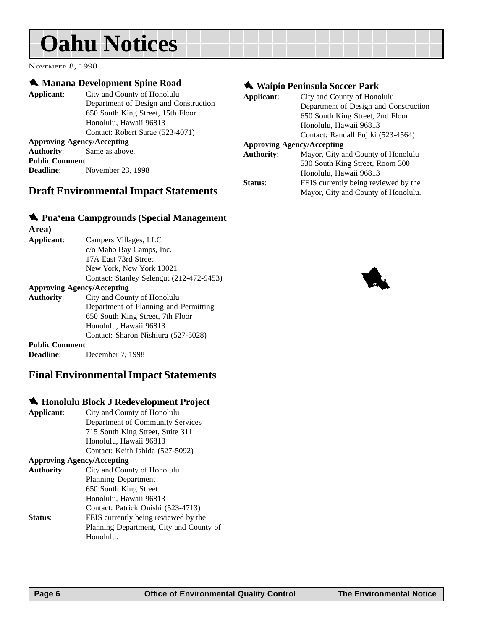# <span id="page-5-0"></span>**Oahu Notices**

NOVEMBER 8, 1998

#### $\triangle$  **Manana Development Spine Road**

**Applicant**: City and County of Honolulu Department of Design and Construction 650 South King Street, 15th Floor Honolulu, Hawaii 96813 Contact: Robert Sarae (523-4071) **Approving Agency/Accepting Authority**: Same as above. **Public Comment Deadline**: November 23, 1998

### **Draft Environmental Impact Statements**

#### 1 **Pua'ena Campgrounds (Special Management**

| Area)                 |                                          |
|-----------------------|------------------------------------------|
| Applicant:            | Campers Villages, LLC                    |
|                       | c/o Maho Bay Camps, Inc.                 |
|                       | 17A East 73rd Street                     |
|                       | New York, New York 10021                 |
|                       | Contact: Stanley Selengut (212-472-9453) |
|                       | <b>Approving Agency/Accepting</b>        |
| <b>Authority:</b>     | City and County of Honolulu              |
|                       | Department of Planning and Permitting    |
|                       | 650 South King Street, 7th Floor         |
|                       | Honolulu, Hawaii 96813                   |
|                       | Contact: Sharon Nishiura (527-5028)      |
| <b>Public Commont</b> |                                          |

**Public Comment Deadline**: December 7, 1998

### **Final Environmental Impact Statements**

#### 1 **Honolulu Block J Redevelopment Project**

| Applicant:        | City and County of Honolulu             |
|-------------------|-----------------------------------------|
|                   | Department of Community Services        |
|                   | 715 South King Street, Suite 311        |
|                   | Honolulu, Hawaii 96813                  |
|                   | Contact: Keith Ishida (527-5092)        |
|                   | <b>Approving Agency/Accepting</b>       |
| <b>Authority:</b> | City and County of Honolulu             |
|                   | Planning Department                     |
|                   | 650 South King Street                   |
|                   | Honolulu, Hawaii 96813                  |
|                   | Contact: Patrick Onishi (523-4713)      |
| Status:           | FEIS currently being reviewed by the    |
|                   | Planning Department, City and County of |
|                   | Honolulu.                               |

#### 1 **Waipio Peninsula Soccer Park**

| Applicant:        | City and County of Honolulu           |
|-------------------|---------------------------------------|
|                   | Department of Design and Construction |
|                   | 650 South King Street, 2nd Floor      |
|                   | Honolulu, Hawaii 96813                |
|                   | Contact: Randall Fujiki (523-4564)    |
|                   | <b>Approving Agency/Accepting</b>     |
| <b>Authority:</b> | Mayor, City and County of Honolulu    |
|                   | 530 South King Street, Room 300       |
|                   | Honolulu, Hawaii 96813                |
| Status:           | FEIS currently being reviewed by the  |
|                   | Mayor, City and County of Honolulu.   |

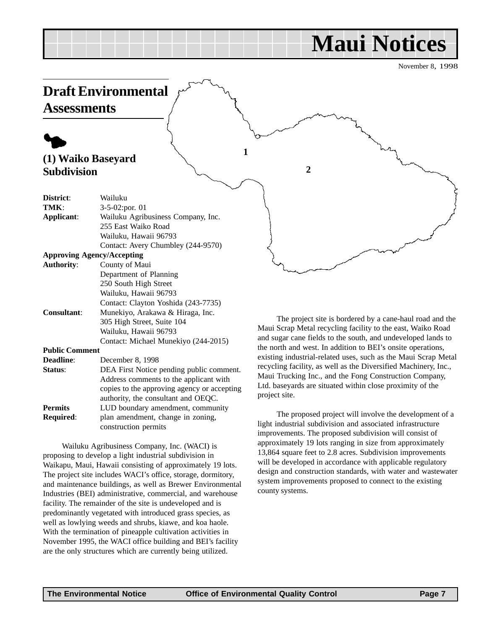## **Maui Notices**

November 8, 1998

<span id="page-6-0"></span>

The proposed project will involve the development of a light industrial subdivision and associated infrastructure improvements. The proposed subdivision will consist of approximately 19 lots ranging in size from approximately 13,864 square feet to 2.8 acres. Subdivision improvements will be developed in accordance with applicable regulatory design and construction standards, with water and wastewater system improvements proposed to connect to the existing county systems.

**Permits** LUD boundary amendment, community **Required**: plan amendment, change in zoning, construction permits

Wailuku Agribusiness Company, Inc. (WACI) is proposing to develop a light industrial subdivision in Waikapu, Maui, Hawaii consisting of approximately 19 lots. The project site includes WACI's office, storage, dormitory, and maintenance buildings, as well as Brewer Environmental Industries (BEI) administrative, commercial, and warehouse facility. The remainder of the site is undeveloped and is predominantly vegetated with introduced grass species, as well as lowlying weeds and shrubs, kiawe, and koa haole. With the termination of pineapple cultivation activities in November 1995, the WACI office building and BEI's facility are the only structures which are currently being utilized.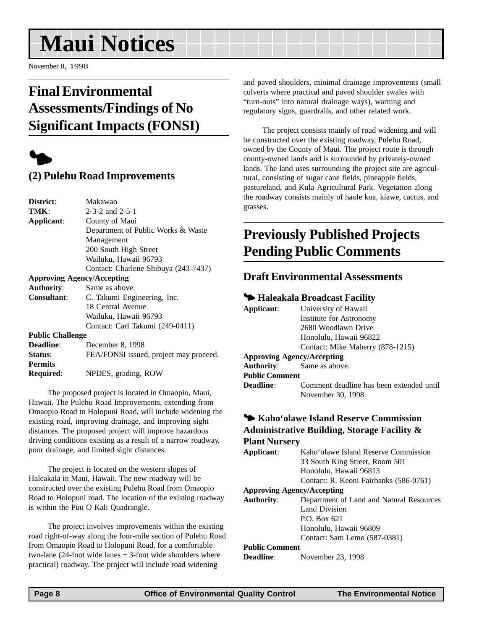# <span id="page-7-0"></span>**Maui Notices**

November 8, 1998

## **Final Environmental Assessments/Findings of No Significant Impacts (FONSI)**



## **(2) Pulehu Road Improvements**

| District:                         | Makawao                                |  |
|-----------------------------------|----------------------------------------|--|
| TMK:                              | $2 - 3 - 2$ and $2 - 5 - 1$            |  |
| Applicant:                        | County of Maui                         |  |
|                                   | Department of Public Works & Waste     |  |
|                                   | Management                             |  |
|                                   | 200 South High Street                  |  |
|                                   | Wailuku, Hawaii 96793                  |  |
|                                   | Contact: Charlene Shibuya (243-7437)   |  |
| <b>Approving Agency/Accepting</b> |                                        |  |
| <b>Authority:</b>                 | Same as above.                         |  |
| <b>Consultant:</b>                | C. Takumi Engineering, Inc.            |  |
|                                   | 18 Central Avenue                      |  |
|                                   | Wailuku, Hawaii 96793                  |  |
|                                   | Contact: Carl Takumi (249-0411)        |  |
| <b>Public Challenge</b>           |                                        |  |
| Deadline:                         | December 8, 1998                       |  |
| Status:                           | FEA/FONSI issued, project may proceed. |  |
| <b>Permits</b>                    |                                        |  |
| Required:                         | NPDES, grading, ROW                    |  |
|                                   |                                        |  |

The proposed project is located in Omaopio, Maui, Hawaii. The Pulehu Road Improvements, extending from Omaopio Road to Holopuni Road, will include widening the existing road, improving drainage, and improving sight distances. The proposed project will improve hazardous driving conditions existing as a result of a narrow roadway, poor drainage, and limited sight distances.

The project is located on the western slopes of Haleakala in Maui, Hawaii. The new roadway will be constructed over the existing Pulehu Road from Omaopio Road to Holopuni road. The location of the existing roadway is within the Puu O Kali Quadrangle.

The project involves improvements within the existing road right-of-way along the four-mile section of Pulehu Road from Omaopio Road to Holopuni Road, for a comfortable two-lane (24-foot wide lanes + 3-foot wide shoulders where practical) roadway. The project will include road widening

and paved shoulders, minimal drainage improvements (small culverts where practical and paved shoulder swales with "turn-outs" into natural drainage ways), warning and regulatory signs, guardrails, and other related work.

The project consists mainly of road widening and will be constructed over the existing roadway, Pulehu Road, owned by the County of Maui. The project route is through county-owned lands and is surrounded by privately-owned lands. The land uses surrounding the project site are agricultural, consisting of sugar cane fields, pineapple fields, pastureland, and Kula Agricultural Park. Vegetation along the roadway consists mainly of haole koa, kiawe, cactus, and grasses.

## **Previously Published Projects Pending Public Comments**

### **Draft Environmental Assessments**

#### 3 **Haleakala Broadcast Facility**

| Applicant:            | University of Hawaii                     |  |
|-----------------------|------------------------------------------|--|
|                       | Institute for Astronomy                  |  |
|                       | 2680 Woodlawn Drive                      |  |
|                       | Honolulu, Hawaii 96822                   |  |
|                       | Contact: Mike Maberry (878-1215)         |  |
|                       | <b>Approving Agency/Accepting</b>        |  |
|                       | <b>Authority:</b> Same as above.         |  |
| <b>Public Comment</b> |                                          |  |
| Deadline:             | Comment deadline has been extended until |  |
|                       | November 30, 1998.                       |  |
|                       |                                          |  |

#### 3 **Kaho'olawe Island Reserve Commission Administrative Building, Storage Facility & Plant Nursery**

| Kaho'olawe Island Reserve Commission     |
|------------------------------------------|
| 33 South King Street, Room 501           |
| Honolulu, Hawaii 96813                   |
| Contact: R. Keoni Fairbanks (586-0761)   |
| <b>Approving Agency/Accepting</b>        |
| Department of Land and Natural Resources |
| Land Division                            |
| P.O. Box 621                             |
| Honolulu, Hawaii 96809                   |
| Contact: Sam Lemo (587-0381)             |
| <b>Public Comment</b>                    |
|                                          |

**Deadline**: November 23, 1998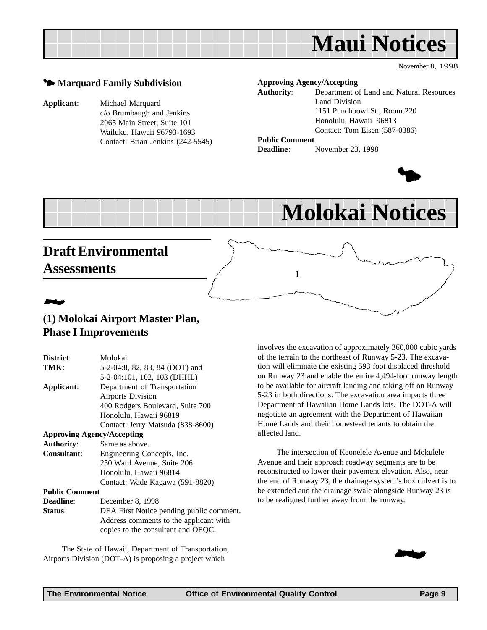

November 8, 1998

#### $\blacktriangleright$  **Marquard Family Subdivision**

**Applicant**: Michael Marquard c/o Brumbaugh and Jenkins 2065 Main Street, Suite 101 Wailuku, Hawaii 96793-1693 Contact: Brian Jenkins (242-5545)

#### **Approving Agency/Accepting**

**Authority**: Department of Land and Natural Resources Land Division 1151 Punchbowl St., Room 220 Honolulu, Hawaii 96813 Contact: Tom Eisen (587-0386) **Public Comment**

**1**

**Deadline**: November 23, 1998



## **Molokai Notices**

## **Draft Environmental Assessments**

## 2 **(1) Molokai Airport Master Plan, Phase I Improvements**

| District:                         | Molokai                                  |
|-----------------------------------|------------------------------------------|
| TMK:                              | 5-2-04:8, 82, 83, 84 (DOT) and           |
|                                   | 5-2-04:101, 102, 103 (DHHL)              |
| Applicant:                        | Department of Transportation             |
|                                   | <b>Airports Division</b>                 |
|                                   | 400 Rodgers Boulevard, Suite 700         |
|                                   | Honolulu, Hawaii 96819                   |
|                                   | Contact: Jerry Matsuda (838-8600)        |
| <b>Approving Agency/Accepting</b> |                                          |
| <b>Authority:</b>                 | Same as above.                           |
| Consultant:                       | Engineering Concepts, Inc.               |
|                                   | 250 Ward Avenue, Suite 206               |
|                                   | Honolulu, Hawaii 96814                   |
|                                   | Contact: Wade Kagawa (591-8820)          |
| <b>Public Comment</b>             |                                          |
| <b>Deadline:</b>                  | December 8, 1998                         |
| Status:                           | DEA First Notice pending public comment. |
|                                   | Address comments to the applicant with   |
|                                   | copies to the consultant and OEQC.       |

The State of Hawaii, Department of Transportation, Airports Division (DOT-A) is proposing a project which

involves the excavation of approximately 360,000 cubic yards of the terrain to the northeast of Runway 5-23. The excavation will eliminate the existing 593 foot displaced threshold on Runway 23 and enable the entire 4,494-foot runway length to be available for aircraft landing and taking off on Runway 5-23 in both directions. The excavation area impacts three Department of Hawaiian Home Lands lots. The DOT-A will negotiate an agreement with the Department of Hawaiian Home Lands and their homestead tenants to obtain the affected land.

The intersection of Keonelele Avenue and Mokulele Avenue and their approach roadway segments are to be reconstructed to lower their pavement elevation. Also, near the end of Runway 23, the drainage system's box culvert is to be extended and the drainage swale alongside Runway 23 is to be realigned further away from the runway.

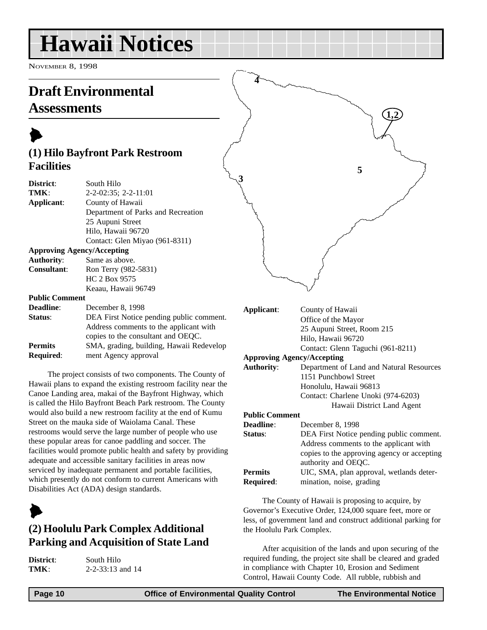# <span id="page-9-0"></span>**Hawaii Notices**

NOVEMBER 8, 1998

## **Draft Environmental**

## **Assessments**

## $\blacktriangleright$ **(1) Hilo Bayfront Park Restroom Facilities**

| District:             | South Hilo                               |
|-----------------------|------------------------------------------|
| TMK:                  | $2-2-02:35$ ; $2-2-11:01$                |
| Applicant:            | County of Hawaii                         |
|                       | Department of Parks and Recreation       |
|                       | 25 Aupuni Street                         |
|                       | Hilo, Hawaii 96720                       |
|                       | Contact: Glen Miyao (961-8311)           |
|                       | <b>Approving Agency/Accepting</b>        |
| Authority:            | Same as above.                           |
| <b>Consultant:</b>    | Ron Terry (982-5831)                     |
|                       | HC 2 Box 9575                            |
|                       | Keaau, Hawaii 96749                      |
| <b>Public Comment</b> |                                          |
| <b>Deadline:</b>      | December 8, 1998                         |
| Status:               | DEA First Notice pending public comment. |
|                       | Address comments to the applicant with   |
|                       | copies to the consultant and OEQC.       |
| <b>Permits</b>        | SMA, grading, building, Hawaii Redevelop |

**Required**: ment Agency approval

The project consists of two components. The County of Hawaii plans to expand the existing restroom facility near the Canoe Landing area, makai of the Bayfront Highway, which is called the Hilo Bayfront Beach Park restroom. The County would also build a new restroom facility at the end of Kumu Street on the mauka side of Waiolama Canal. These restrooms would serve the large number of people who use these popular areas for canoe paddling and soccer. The facilities would promote public health and safety by providing adequate and accessible sanitary facilities in areas now serviced by inadequate permanent and portable facilities, which presently do not conform to current Americans with Disabilities Act (ADA) design standards.

## $\blacktriangleright$

## **(2) Hoolulu Park Complex Additional Parking and Acquisition of State Land**

| District: | South 1      |
|-----------|--------------|
| TMK:      | $2 - 2 - 33$ |

**Hilo 13** and 14



| Applicant:                        | County of Hawaii                            |
|-----------------------------------|---------------------------------------------|
|                                   | Office of the Mayor                         |
|                                   | 25 Aupuni Street, Room 215                  |
|                                   | Hilo, Hawaii 96720                          |
|                                   | Contact: Glenn Taguchi (961-8211)           |
| <b>Approving Agency/Accepting</b> |                                             |
| <b>Authority:</b>                 | Department of Land and Natural Resources    |
|                                   | 1151 Punchbowl Street                       |
|                                   | Honolulu, Hawaii 96813                      |
|                                   | Contact: Charlene Unoki (974-6203)          |
|                                   | Hawaii District Land Agent                  |
| <b>Public Comment</b>             |                                             |
| <b>Deadline:</b>                  | December 8, 1998                            |
| Status:                           | DEA First Notice pending public comment.    |
|                                   | Address comments to the applicant with      |
|                                   | copies to the approving agency or accepting |
|                                   | authority and OEQC.                         |
| <b>Permits</b>                    | UIC, SMA, plan approval, wetlands deter-    |
| <b>Required:</b>                  | mination, noise, grading                    |
|                                   |                                             |

The County of Hawaii is proposing to acquire, by Governor's Executive Order, 124,000 square feet, more or less, of government land and construct additional parking for the Hoolulu Park Complex.

After acquisition of the lands and upon securing of the required funding, the project site shall be cleared and graded in compliance with Chapter 10, Erosion and Sediment Control, Hawaii County Code. All rubble, rubbish and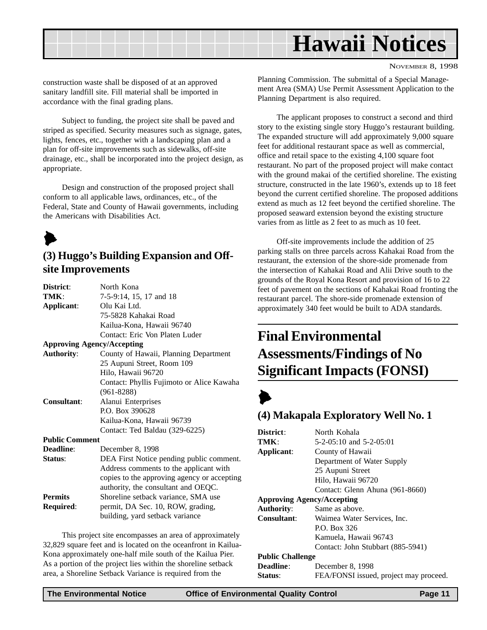<span id="page-10-0"></span>

NOVEMBER 8, 1998

construction waste shall be disposed of at an approved sanitary landfill site. Fill material shall be imported in accordance with the final grading plans.

Subject to funding, the project site shall be paved and striped as specified. Security measures such as signage, gates, lights, fences, etc., together with a landscaping plan and a plan for off-site improvements such as sidewalks, off-site drainage, etc., shall be incorporated into the project design, as appropriate.

Design and construction of the proposed project shall conform to all applicable laws, ordinances, etc., of the Federal, State and County of Hawaii governments, including the Americans with Disabilities Act.

## $\blacktriangleright$

## **(3) Huggo's Building Expansion and Offsite Improvements**

| District:                         | North Kona                                  |
|-----------------------------------|---------------------------------------------|
| TMK:                              | 7-5-9:14, 15, 17 and 18                     |
| Applicant:                        | Olu Kai Ltd.                                |
|                                   | 75-5828 Kahakai Road                        |
|                                   | Kailua-Kona, Hawaii 96740                   |
|                                   | Contact: Eric Von Platen Luder              |
| <b>Approving Agency/Accepting</b> |                                             |
| <b>Authority:</b>                 | County of Hawaii, Planning Department       |
|                                   | 25 Aupuni Street, Room 109                  |
|                                   | Hilo, Hawaii 96720                          |
|                                   | Contact: Phyllis Fujimoto or Alice Kawaha   |
|                                   | $(961 - 8288)$                              |
| <b>Consultant:</b>                | Alanui Enterprises                          |
|                                   | P.O. Box 390628                             |
|                                   | Kailua-Kona, Hawaii 96739                   |
|                                   | Contact: Ted Baldau (329-6225)              |
| <b>Public Comment</b>             |                                             |
| Deadline:                         | December 8, 1998                            |
| Status:                           | DEA First Notice pending public comment.    |
|                                   | Address comments to the applicant with      |
|                                   | copies to the approving agency or accepting |
|                                   | authority, the consultant and OEQC.         |
| <b>Permits</b>                    | Shoreline setback variance, SMA use         |
| Required:                         | permit, DA Sec. 10, ROW, grading,           |
|                                   | building, yard setback variance             |
|                                   |                                             |

This project site encompasses an area of approximately 32,829 square feet and is located on the oceanfront in Kailua-Kona approximately one-half mile south of the Kailua Pier. As a portion of the project lies within the shoreline setback area, a Shoreline Setback Variance is required from the

Planning Commission. The submittal of a Special Management Area (SMA) Use Permit Assessment Application to the Planning Department is also required.

The applicant proposes to construct a second and third story to the existing single story Huggo's restaurant building. The expanded structure will add approximately 9,000 square feet for additional restaurant space as well as commercial, office and retail space to the existing 4,100 square foot restaurant. No part of the proposed project will make contact with the ground makai of the certified shoreline. The existing structure, constructed in the late 1960's, extends up to 18 feet beyond the current certified shoreline. The proposed additions extend as much as 12 feet beyond the certified shoreline. The proposed seaward extension beyond the existing structure varies from as little as 2 feet to as much as 10 feet.

Off-site improvements include the addition of 25 parking stalls on three parcels across Kahakai Road from the restaurant, the extension of the shore-side promenade from the intersection of Kahakai Road and Alii Drive south to the grounds of the Royal Kona Resort and provision of 16 to 22 feet of pavement on the sections of Kahakai Road fronting the restaurant parcel. The shore-side promenade extension of approximately 340 feet would be built to ADA standards.

## **Final Environmental Assessments/Findings of No Significant Impacts (FONSI)**

## $\blacktriangleright$

## **(4) Makapala Exploratory Well No. 1**

| District:                         | North Kohala                           |  |
|-----------------------------------|----------------------------------------|--|
| TMK:                              | 5-2-05:10 and 5-2-05:01                |  |
| Applicant:                        | County of Hawaii                       |  |
|                                   | Department of Water Supply             |  |
|                                   | 25 Aupuni Street                       |  |
|                                   | Hilo, Hawaii 96720                     |  |
|                                   | Contact: Glenn Ahuna (961-8660)        |  |
| <b>Approving Agency/Accepting</b> |                                        |  |
| <b>Authority:</b>                 | Same as above.                         |  |
| Consultant:                       | Waimea Water Services, Inc.            |  |
|                                   | P.O. Box 326                           |  |
|                                   | Kamuela, Hawaii 96743                  |  |
|                                   | Contact: John Stubbart (885-5941)      |  |
| <b>Public Challenge</b>           |                                        |  |
| <b>Deadline:</b>                  | December 8, 1998                       |  |
| Status:                           | FEA/FONSI issued, project may proceed. |  |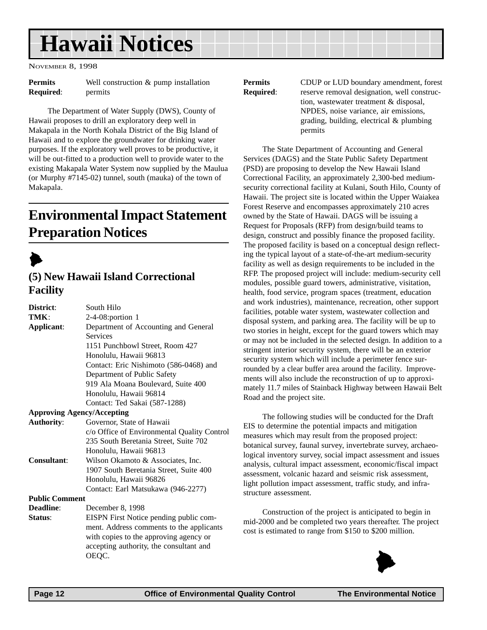## <span id="page-11-0"></span>**Hawaii Notices**

NOVEMBER 8, 1998

| <b>Permits</b>   | Well construction $&$ |  |
|------------------|-----------------------|--|
| <b>Required:</b> | permits               |  |

The Department of Water Supply (DWS), County of Hawaii proposes to drill an exploratory deep well in Makapala in the North Kohala District of the Big Island of Hawaii and to explore the groundwater for drinking water purposes. If the exploratory well proves to be productive, it will be out-fitted to a production well to provide water to the existing Makapala Water System now supplied by the Maulua (or Murphy #7145-02) tunnel, south (mauka) of the town of Makapala.

pump installation

## **Environmental Impact Statement Preparation Notices**

 $\blacktriangleright$ 

## **(5) New Hawaii Island Correctional Facility**

| District:                         | South Hilo                                              |  |
|-----------------------------------|---------------------------------------------------------|--|
| TMK:                              | $2-4-08$ : portion 1                                    |  |
| Applicant:                        | Department of Accounting and General<br><b>Services</b> |  |
|                                   | 1151 Punchbowl Street, Room 427                         |  |
|                                   | Honolulu, Hawaii 96813                                  |  |
|                                   | Contact: Eric Nishimoto (586-0468) and                  |  |
|                                   | Department of Public Safety                             |  |
|                                   | 919 Ala Moana Boulevard, Suite 400                      |  |
|                                   | Honolulu, Hawaii 96814                                  |  |
|                                   | Contact: Ted Sakai (587-1288)                           |  |
| <b>Approving Agency/Accepting</b> |                                                         |  |
| <b>Authority:</b>                 | Governor, State of Hawaii                               |  |
|                                   | c/o Office of Environmental Quality Control             |  |
|                                   | 235 South Beretania Street, Suite 702                   |  |
|                                   | Honolulu, Hawaii 96813                                  |  |
| Consultant:                       | Wilson Okamoto & Associates, Inc.                       |  |
|                                   | 1907 South Beretania Street, Suite 400                  |  |
|                                   | Honolulu, Hawaii 96826                                  |  |
|                                   | Contact: Earl Matsukawa (946-2277)                      |  |
| <b>Public Comment</b>             |                                                         |  |
| Deadline:                         | December 8, 1998                                        |  |
| Status:                           | EISPN First Notice pending public com-                  |  |
|                                   | ment. Address comments to the applicants                |  |
|                                   | with copies to the approving agency or                  |  |
|                                   | accepting authority, the consultant and                 |  |
|                                   | OEOC.                                                   |  |
|                                   |                                                         |  |

**Permits** CDUP or LUD boundary amendment, forest **Required:** reserve removal designation, well construction, wastewater treatment & disposal, NPDES, noise variance, air emissions, grading, building, electrical & plumbing permits

The State Department of Accounting and General Services (DAGS) and the State Public Safety Department (PSD) are proposing to develop the New Hawaii Island Correctional Facility, an approximately 2,300-bed mediumsecurity correctional facility at Kulani, South Hilo, County of Hawaii. The project site is located within the Upper Waiakea Forest Reserve and encompasses approximately 210 acres owned by the State of Hawaii. DAGS will be issuing a Request for Proposals (RFP) from design/build teams to design, construct and possibly finance the proposed facility. The proposed facility is based on a conceptual design reflecting the typical layout of a state-of-the-art medium-security facility as well as design requirements to be included in the RFP. The proposed project will include: medium-security cell modules, possible guard towers, administrative, visitation, health, food service, program spaces (treatment, education and work industries), maintenance, recreation, other support facilities, potable water system, wastewater collection and disposal system, and parking area. The facility will be up to two stories in height, except for the guard towers which may or may not be included in the selected design. In addition to a stringent interior security system, there will be an exterior security system which will include a perimeter fence surrounded by a clear buffer area around the facility. Improvements will also include the reconstruction of up to approximately 11.7 miles of Stainback Highway between Hawaii Belt Road and the project site.

The following studies will be conducted for the Draft EIS to determine the potential impacts and mitigation measures which may result from the proposed project: botanical survey, faunal survey, invertebrate survey, archaeological inventory survey, social impact assessment and issues analysis, cultural impact assessment, economic/fiscal impact assessment, volcanic hazard and seismic risk assessment, light pollution impact assessment, traffic study, and infrastructure assessment.

Construction of the project is anticipated to begin in mid-2000 and be completed two years thereafter. The project cost is estimated to range from \$150 to \$200 million.

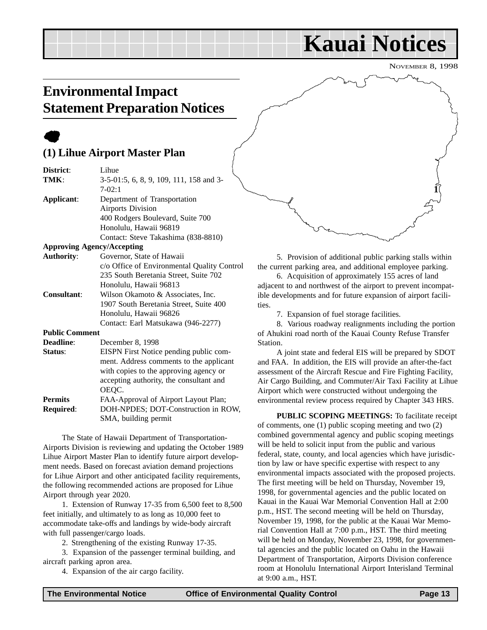## **Kauai Notices**

NOVEMBER 8, 1998

## <span id="page-12-0"></span>**Environmental Impact Statement Preparation Notices**

## $\bullet$

## **(1) Lihue Airport Master Plan**

| District:             | Lihue                                       |  |  |
|-----------------------|---------------------------------------------|--|--|
| TMK:                  | 3-5-01:5, 6, 8, 9, 109, 111, 158 and 3-     |  |  |
|                       | $7-02:1$                                    |  |  |
| Applicant:            | Department of Transportation                |  |  |
|                       | <b>Airports Division</b>                    |  |  |
|                       | 400 Rodgers Boulevard, Suite 700            |  |  |
|                       | Honolulu, Hawaii 96819                      |  |  |
|                       | Contact: Steve Takashima (838-8810)         |  |  |
|                       | <b>Approving Agency/Accepting</b>           |  |  |
| <b>Authority:</b>     | Governor, State of Hawaii                   |  |  |
|                       | c/o Office of Environmental Quality Control |  |  |
|                       | 235 South Beretania Street, Suite 702       |  |  |
|                       | Honolulu, Hawaii 96813                      |  |  |
| <b>Consultant:</b>    | Wilson Okamoto & Associates, Inc.           |  |  |
|                       | 1907 South Beretania Street, Suite 400      |  |  |
|                       | Honolulu, Hawaii 96826                      |  |  |
|                       | Contact: Earl Matsukawa (946-2277)          |  |  |
| <b>Public Comment</b> |                                             |  |  |
| Deadline:             | December 8, 1998                            |  |  |
| Status:               | EISPN First Notice pending public com-      |  |  |
|                       | ment. Address comments to the applicant     |  |  |
|                       | with copies to the approving agency or      |  |  |
|                       | accepting authority, the consultant and     |  |  |
|                       | OEQC.                                       |  |  |
| <b>Permits</b>        | FAA-Approval of Airport Layout Plan;        |  |  |
| Required:             | DOH-NPDES; DOT-Construction in ROW,         |  |  |
|                       | SMA, building permit                        |  |  |

The State of Hawaii Department of Transportation-Airports Division is reviewing and updating the October 1989 Lihue Airport Master Plan to identify future airport development needs. Based on forecast aviation demand projections for Lihue Airport and other anticipated facility requirements, the following recommended actions are proposed for Lihue Airport through year 2020.

1. Extension of Runway 17-35 from 6,500 feet to 8,500 feet initially, and ultimately to as long as 10,000 feet to accommodate take-offs and landings by wide-body aircraft with full passenger/cargo loads.

2. Strengthening of the existing Runway 17-35.

3. Expansion of the passenger terminal building, and aircraft parking apron area.

4. Expansion of the air cargo facility.



5. Provision of additional public parking stalls within the current parking area, and additional employee parking.

6. Acquisition of approximately 155 acres of land adjacent to and northwest of the airport to prevent incompatible developments and for future expansion of airport facilities.

7. Expansion of fuel storage facilities.

8. Various roadway realignments including the portion of Ahukini road north of the Kauai County Refuse Transfer Station.

A joint state and federal EIS will be prepared by SDOT and FAA. In addition, the EIS will provide an after-the-fact assessment of the Aircraft Rescue and Fire Fighting Facility, Air Cargo Building, and Commuter/Air Taxi Facility at Lihue Airport which were constructed without undergoing the environmental review process required by Chapter 343 HRS.

**PUBLIC SCOPING MEETINGS:** To facilitate receipt of comments, one (1) public scoping meeting and two (2) combined governmental agency and public scoping meetings will be held to solicit input from the public and various federal, state, county, and local agencies which have jurisdiction by law or have specific expertise with respect to any environmental impacts associated with the proposed projects. The first meeting will be held on Thursday, November 19, 1998, for governmental agencies and the public located on Kauai in the Kauai War Memorial Convention Hall at 2:00 p.m., HST. The second meeting will be held on Thursday, November 19, 1998, for the public at the Kauai War Memorial Convention Hall at 7:00 p.m., HST. The third meeting will be held on Monday, November 23, 1998, for governmental agencies and the public located on Oahu in the Hawaii Department of Transportation, Airports Division conference room at Honolulu International Airport Interisland Terminal at 9:00 a.m., HST.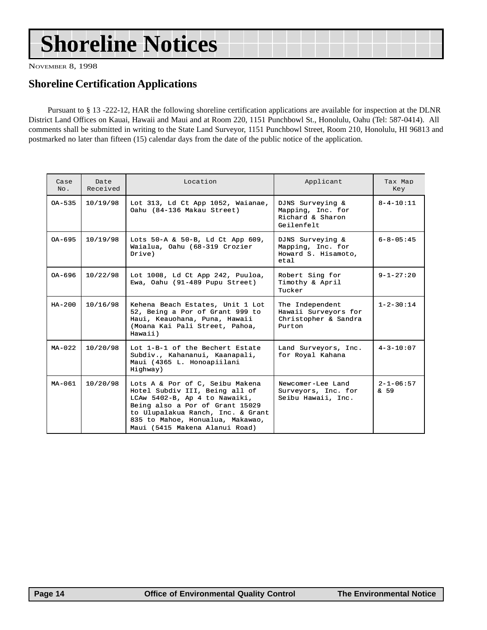# **Shoreline Notices**

NOVEMBER 8, 1998

## **Shoreline Certification Applications**

Pursuant to § 13 -222-12, HAR the following shoreline certification applications are available for inspection at the DLNR District Land Offices on Kauai, Hawaii and Maui and at Room 220, 1151 Punchbowl St., Honolulu, Oahu (Tel: 587-0414). All comments shall be submitted in writing to the State Land Surveyor, 1151 Punchbowl Street, Room 210, Honolulu, HI 96813 and postmarked no later than fifteen (15) calendar days from the date of the public notice of the application.

| Case<br>No. | Date<br>Received | Location                                                                                                                                                                                                                                         | Applicant                                                                 | Tax Map<br>Key          |
|-------------|------------------|--------------------------------------------------------------------------------------------------------------------------------------------------------------------------------------------------------------------------------------------------|---------------------------------------------------------------------------|-------------------------|
| $OA - 5.35$ | 10/19/98         | Lot 313, Ld Ct App 1052, Waianae,<br>Oahu (84-136 Makau Street)                                                                                                                                                                                  | DJNS Surveying &<br>Mapping, Inc. for<br>Richard & Sharon<br>Geilenfelt   | $8 - 4 - 10 : 11$       |
| $OA - 695$  | 10/19/98         | Lots 50-A & 50-B, Ld Ct App 609,<br>Waialua, Oahu (68-319 Crozier<br>Drive)                                                                                                                                                                      | DJNS Surveying &<br>Mapping, Inc. for<br>Howard S. Hisamoto,<br>eta1      | $6 - 8 - 05 : 45$       |
| OA-696      | 10/22/98         | Lot 1008, Ld Ct App 242, Puuloa,<br>Ewa, Oahu (91-489 Pupu Street)                                                                                                                                                                               | Robert Sing for<br>Timothy & April<br>Tucker                              | $9 - 1 - 27:20$         |
| $HA - 200$  | 10/16/98         | Kehena Beach Estates, Unit 1 Lot<br>52, Being a Por of Grant 999 to<br>Haui, Keauohana, Puna, Hawaii<br>(Moana Kai Pali Street, Pahoa,<br>Hawaii)                                                                                                | The Independent<br>Hawaii Surveyors for<br>Christopher & Sandra<br>Purton | $1 - 2 - 30:14$         |
| $MA - 0.22$ | 10/20/98         | Lot 1-B-1 of the Bechert Estate<br>Subdiv., Kahananui, Kaanapali,<br>Maui (4365 L. Honoapiilani<br>Highway)                                                                                                                                      | Land Surveyors, Inc.<br>for Royal Kahana                                  | $4 - 3 - 10:07$         |
| $MA - 061$  | 10/20/98         | Lots A & Por of C, Seibu Makena<br>Hotel Subdiv III, Being all of<br>LCAw 5402-B, Ap 4 to Nawaiki,<br>Being also a Por of Grant 15029<br>to Ulupalakua Ranch, Inc. & Grant<br>835 to Mahoe, Honualua, Makawao,<br>Maui (5415 Makena Alanui Road) | Newcomer-Lee Land<br>Surveyors, Inc. for<br>Seibu Hawaii, Inc.            | $2 - 1 - 06:57$<br>& 59 |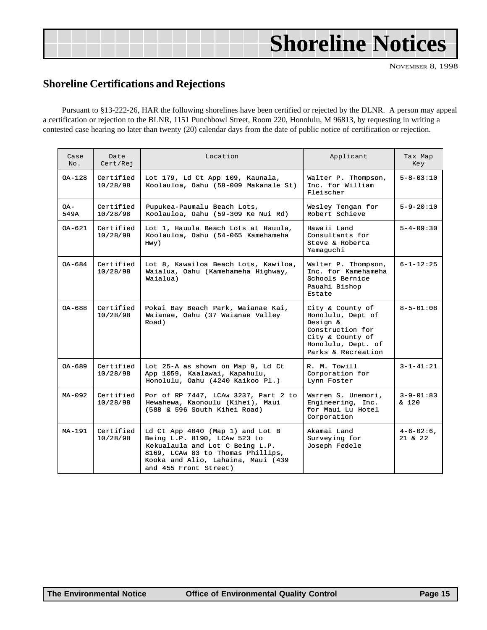# <span id="page-14-0"></span>**Shoreline Notices**

NOVEMBER 8, 1998

### **Shoreline Certifications and Rejections**

Pursuant to §13-222-26, HAR the following shorelines have been certified or rejected by the DLNR. A person may appeal a certification or rejection to the BLNR, 1151 Punchbowl Street, Room 220, Honolulu, M 96813, by requesting in writing a contested case hearing no later than twenty (20) calendar days from the date of public notice of certification or rejection.

| Case<br>No. | Date<br>Cert/Rej      | Location                                                                                                                                                                                                | Applicant                                                                                                                             | Tax Map<br>Key                     |
|-------------|-----------------------|---------------------------------------------------------------------------------------------------------------------------------------------------------------------------------------------------------|---------------------------------------------------------------------------------------------------------------------------------------|------------------------------------|
| OA-128      | Certified<br>10/28/98 | Lot 179, Ld Ct App 109, Kaunala,<br>Koolauloa, Oahu (58-009 Makanale St)                                                                                                                                | Walter P. Thompson,<br>Inc. for William<br>Fleischer                                                                                  | $5 - 8 - 03 : 10$                  |
| OA-<br>549A | Certified<br>10/28/98 | Pupukea-Paumalu Beach Lots,<br>Koolauloa, Oahu (59-309 Ke Nui Rd)                                                                                                                                       | Wesley Tengan for<br>Robert Schieve                                                                                                   |                                    |
| $OA - 621$  | Certified<br>10/28/98 | Lot 1, Hauula Beach Lots at Hauula,<br>Koolauloa, Oahu (54-065 Kamehameha<br>Hwy)                                                                                                                       | Hawaii Land<br>Consultants for<br>Steve & Roberta<br>Yamaguchi                                                                        |                                    |
| OA-684      | Certified<br>10/28/98 | Lot 8, Kawailoa Beach Lots, Kawiloa,<br>Waialua, Oahu (Kamehameha Highway,<br>Waialua)                                                                                                                  | Walter P. Thompson,<br>Inc. for Kamehameha<br>Schools Bernice<br>Pauahi Bishop<br>Estate                                              | $6 - 1 - 12:25$                    |
| $OA - 688$  | Certified<br>10/28/98 | Pokai Bay Beach Park, Waianae Kai,<br>Waianae, Oahu (37 Waianae Valley<br>Road)                                                                                                                         | City & County of<br>Honolulu, Dept of<br>Design &<br>Construction for<br>City & County of<br>Honolulu, Dept. of<br>Parks & Recreation | $8 - 5 - 01:08$                    |
| $0A - 689$  | Certified<br>10/28/98 | Lot 25-A as shown on Map 9, Ld Ct<br>App 1059, Kaalawai, Kapahulu,<br>Honolulu, Oahu (4240 Kaikoo Pl.)                                                                                                  | R. M. Towill<br>Corporation for<br>Lynn Foster                                                                                        | $3 - 1 - 41:21$                    |
| $MA-092$    | Certified<br>10/28/98 | Por of RP 7447, LCAw 3237, Part 2 to<br>Hewahewa, Kaonoulu (Kihei), Maui<br>(588 & 596 South Kihei Road)                                                                                                | Warren S. Unemori,<br>Engineering, Inc.<br>for Maui Lu Hotel<br>Corporation                                                           | $3 - 9 - 01:83$<br>$\frac{120}{ }$ |
| $MA-191$    | Certified<br>10/28/98 | Ld Ct App 4040 (Map 1) and Lot B<br>Being L.P. 8190, LCAw 523 to<br>Kekualaula and Lot C Being L.P.<br>8169, LCAw 83 to Thomas Phillips,<br>Kooka and Alio, Lahaina, Maui (439<br>and 455 Front Street) | Akamai Land<br>Surveying for<br>Joseph Fedele                                                                                         | $4 - 6 - 02:6$ ,<br>$21 \times 22$ |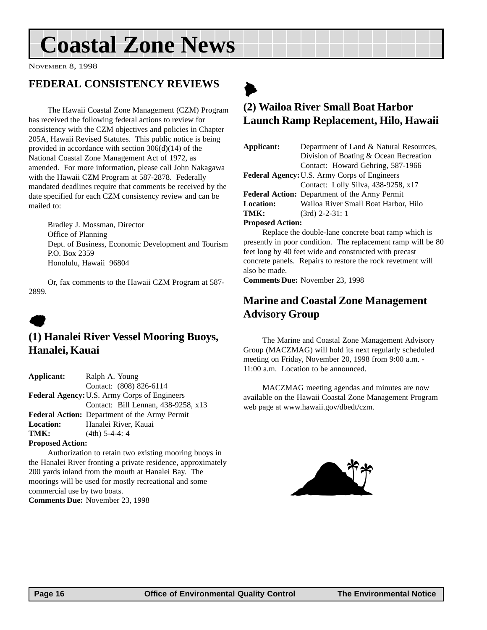# <span id="page-15-0"></span>**Coastal Zone News**

NOVEMBER 8, 1998

## **FEDERAL CONSISTENCY REVIEWS**

The Hawaii Coastal Zone Management (CZM) Program has received the following federal actions to review for consistency with the CZM objectives and policies in Chapter 205A, Hawaii Revised Statutes. This public notice is being provided in accordance with section 306(d)(14) of the National Coastal Zone Management Act of 1972, as amended. For more information, please call John Nakagawa with the Hawaii CZM Program at 587-2878. Federally mandated deadlines require that comments be received by the date specified for each CZM consistency review and can be mailed to:

Bradley J. Mossman, Director Office of Planning Dept. of Business, Economic Development and Tourism P.O. Box 2359 Honolulu, Hawaii 96804

Or, fax comments to the Hawaii CZM Program at 587- 2899.

## $\bullet$

## **(1) Hanalei River Vessel Mooring Buoys, Hanalei, Kauai**

**Applicant:** Ralph A. Young Contact: (808) 826-6114 **Federal Agency:**U.S. Army Corps of Engineers Contact: Bill Lennan, 438-9258, x13 **Federal Action:** Department of the Army Permit **Location:** Hanalei River, Kauai **TMK:** (4th) 5-4-4: 4

#### **Proposed Action:**

Authorization to retain two existing mooring buoys in the Hanalei River fronting a private residence, approximately 200 yards inland from the mouth at Hanalei Bay. The moorings will be used for mostly recreational and some commercial use by two boats. **Comments Due:** November 23, 1998

## $\blacktriangleright$ **(2) Wailoa River Small Boat Harbor Launch Ramp Replacement, Hilo, Hawaii**

| Applicant:                                           | Department of Land & Natural Resources, |  |  |  |
|------------------------------------------------------|-----------------------------------------|--|--|--|
|                                                      | Division of Boating & Ocean Recreation  |  |  |  |
|                                                      | Contact: Howard Gehring, 587-1966       |  |  |  |
| <b>Federal Agency: U.S. Army Corps of Engineers</b>  |                                         |  |  |  |
|                                                      | Contact: Lolly Silva, 438-9258, x17     |  |  |  |
| <b>Federal Action:</b> Department of the Army Permit |                                         |  |  |  |
| <b>Location:</b>                                     | Wailoa River Small Boat Harbor, Hilo    |  |  |  |
| TMK:                                                 | $(3rd)$ 2-2-31: 1                       |  |  |  |
| <b>Proposed Action:</b>                              |                                         |  |  |  |
| Replace the double-lane concrete boat ramp which is  |                                         |  |  |  |

Replace the double-lane concrete boat ramp which is presently in poor condition. The replacement ramp will be 80 feet long by 40 feet wide and constructed with precast concrete panels. Repairs to restore the rock revetment will also be made.

**Comments Due:** November 23, 1998

## **Marine and Coastal Zone Management Advisory Group**

The Marine and Coastal Zone Management Advisory Group (MACZMAG) will hold its next regularly scheduled meeting on Friday, November 20, 1998 from 9:00 a.m. - 11:00 a.m. Location to be announced.

MACZMAG meeting agendas and minutes are now available on the Hawaii Coastal Zone Management Program web page at www.hawaii.gov/dbedt/czm.

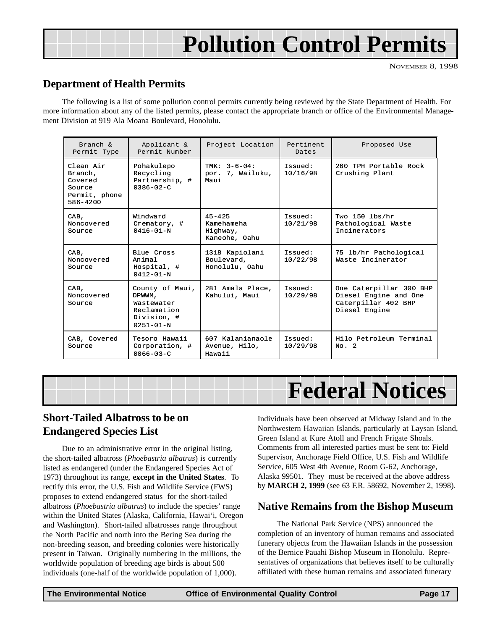# **Pollution Control Permits**

### <span id="page-16-0"></span>**Department of Health Permits**

The following is a list of some pollution control permits currently being reviewed by the State Department of Health. For more information about any of the listed permits, please contact the appropriate branch or office of the Environmental Management Division at 919 Ala Moana Boulevard, Honolulu.

| Branch &<br>Permit Type                                                    | Applicant &<br>Permit Number                                                             | Project Location                                      | Pertinent<br>Dates  | Proposed Use                                                                             |
|----------------------------------------------------------------------------|------------------------------------------------------------------------------------------|-------------------------------------------------------|---------------------|------------------------------------------------------------------------------------------|
| Clean Air<br>Branch,<br>Covered<br>Source<br>Permit, phone<br>$586 - 4200$ | Pohakulepo<br>Recycling<br>Partnership, #<br>$0386 - 02 - C$                             | TMK: $3-6-04$ :<br>por. 7, Wailuku,<br>Maui           | Issued:<br>10/16/98 | 260 TPH Portable Rock<br>Crushing Plant                                                  |
| CAB,<br>Noncovered<br>Source                                               | Windward<br>Crematory, #<br>$0416 - 01 - N$                                              | $45 - 425$<br>Kamehameha<br>Highway,<br>Kaneohe, Oahu | Issued:<br>10/21/98 | Two $150$ lbs/hr<br>Pathological Waste<br>Incinerators                                   |
| CAB,<br>Noncovered<br>Source                                               | Blue Cross<br>Animal<br>Hospital, #<br>$0412 - 01 - N$                                   | 1318 Kapiolani<br>Boulevard,<br>Honolulu, Oahu        | Issued:<br>10/22/98 | 75 lb/hr Pathological<br>Waste Incinerator                                               |
| CAB,<br>Noncovered<br>Source                                               | County of Maui,<br>DPWWM,<br>Wastewater<br>Reclamation<br>Division, #<br>$0251 - 01 - N$ | 281 Amala Place,<br>Kahului, Maui                     | Issued:<br>10/29/98 | One Caterpillar 300 BHP<br>Diesel Engine and One<br>Caterpillar 402 BHP<br>Diesel Engine |
| CAB, Covered<br>Source                                                     | Tesoro Hawaii<br>Corporation, #<br>$0066 - 03 - C$                                       | 607 Kalanianaole<br>Avenue, Hilo,<br>Hawaii           | Issued:<br>10/29/98 | Hilo Petroleum Terminal<br>No. 2                                                         |



### **Short-Tailed Albatross to be on Endangered Species List**

Due to an administrative error in the original listing, the short-tailed albatross (*Phoebastria albatrus*) is currently listed as endangered (under the Endangered Species Act of 1973) throughout its range, **except in the United States**. To rectify this error, the U.S. Fish and Wildlife Service (FWS) proposes to extend endangered status for the short-tailed albatross (*Phoebastria albatrus*) to include the species' range within the United States (Alaska, California, Hawai'i, Oregon and Washington). Short-tailed albatrosses range throughout the North Pacific and north into the Bering Sea during the non-breeding season, and breeding colonies were historically present in Taiwan. Originally numbering in the millions, the worldwide population of breeding age birds is about 500 individuals (one-half of the worldwide population of 1,000).

Individuals have been observed at Midway Island and in the Northwestern Hawaiian Islands, particularly at Laysan Island, Green Island at Kure Atoll and French Frigate Shoals. Comments from all interested parties must be sent to: Field Supervisor, Anchorage Field Office, U.S. Fish and Wildlife Service, 605 West 4th Avenue, Room G-62, Anchorage, Alaska 99501. They must be received at the above address by **MARCH 2, 1999** (see 63 F.R. 58692, November 2, 1998).

### **Native Remains from the Bishop Museum**

The National Park Service (NPS) announced the completion of an inventory of human remains and associated funerary objects from the Hawaiian Islands in the possession of the Bernice Pauahi Bishop Museum in Honolulu. Representatives of organizations that believes itself to be culturally affiliated with these human remains and associated funerary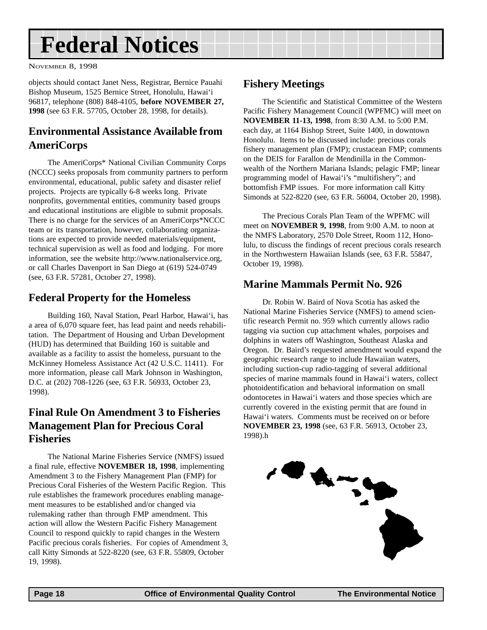# <span id="page-17-0"></span>**Federal Notices**

NOVEMBER 8, 1998

objects should contact Janet Ness, Registrar, Bernice Pauahi Bishop Museum, 1525 Bernice Street, Honolulu, Hawai'i 96817, telephone (808) 848-4105, **before NOVEMBER 27, 1998** (see 63 F.R. 57705, October 28, 1998, for details).

## **Environmental Assistance Available from AmeriCorps**

The AmeriCorps\* National Civilian Community Corps (NCCC) seeks proposals from community partners to perform environmental, educational, public safety and disaster relief projects. Projects are typically 6-8 weeks long. Private nonprofits, governmental entities, community based groups and educational institutions are eligible to submit proposals. There is no charge for the services of an AmeriCorps\*NCCC team or its transportation, however, collaborating organizations are expected to provide needed materials/equipment, technical supervision as well as food and lodging. For more information, see the website http://www.nationalservice.org, or call Charles Davenport in San Diego at (619) 524-0749 (see, 63 F.R. 57281, October 27, 1998).

## **Federal Property for the Homeless**

Building 160, Naval Station, Pearl Harbor, Hawai'i, has a area of 6,070 square feet, has lead paint and needs rehabilitation. The Department of Housing and Urban Development (HUD) has determined that Building 160 is suitable and available as a facility to assist the homeless, pursuant to the McKinney Homeless Assistance Act (42 U.S.C. 11411). For more information, please call Mark Johnson in Washington, D.C. at (202) 708-1226 (see, 63 F.R. 56933, October 23, 1998).

## **Final Rule On Amendment 3 to Fisheries Management Plan for Precious Coral Fisheries**

The National Marine Fisheries Service (NMFS) issued a final rule, effective **NOVEMBER 18, 1998**, implementing Amendment 3 to the Fishery Management Plan (FMP) for Precious Coral Fisheries of the Western Pacific Region. This rule establishes the framework procedures enabling management measures to be established and/or changed via rulemaking rather than through FMP amendment. This action will allow the Western Pacific Fishery Management Council to respond quickly to rapid changes in the Western Pacific precious corals fisheries. For copies of Amendment 3, call Kitty Simonds at 522-8220 (see, 63 F.R. 55809, October 19, 1998).

## **Fishery Meetings**

The Scientific and Statistical Committee of the Western Pacific Fishery Management Council (WPFMC) will meet on **NOVEMBER 11-13, 1998**, from 8:30 A.M. to 5:00 P.M. each day, at 1164 Bishop Street, Suite 1400, in downtown Honolulu. Items to be discussed include: precious corals fishery management plan (FMP); crustacean FMP; comments on the DEIS for Farallon de Mendinilla in the Commonwealth of the Northern Mariana Islands; pelagic FMP; linear programming model of Hawai'i's "multifishery"; and bottomfish FMP issues. For more information call Kitty Simonds at 522-8220 (see, 63 F.R. 56004, October 20, 1998).

The Precious Corals Plan Team of the WPFMC will meet on **NOVEMBER 9, 1998**, from 9:00 A.M. to noon at the NMFS Laboratory, 2570 Dole Street, Room 112, Honolulu, to discuss the findings of recent precious corals research in the Northwestern Hawaiian Islands (see, 63 F.R. 55847, October 19, 1998).

## **Marine Mammals Permit No. 926**

Dr. Robin W. Baird of Nova Scotia has asked the National Marine Fisheries Service (NMFS) to amend scientific research Permit no. 959 which currently allows radio tagging via suction cup attachment whales, porpoises and dolphins in waters off Washington, Southeast Alaska and Oregon. Dr. Baird's requested amendment would expand the geographic research range to include Hawaiian waters, including suction-cup radio-tagging of several additional species of marine mammals found in Hawai'i waters, collect photoidentification and behavioral information on small odontocetes in Hawai'i waters and those species which are currently covered in the existing permit that are found in Hawai'i waters. Comments must be received on or before **NOVEMBER 23, 1998** (see, 63 F.R. 56913, October 23, 1998).h